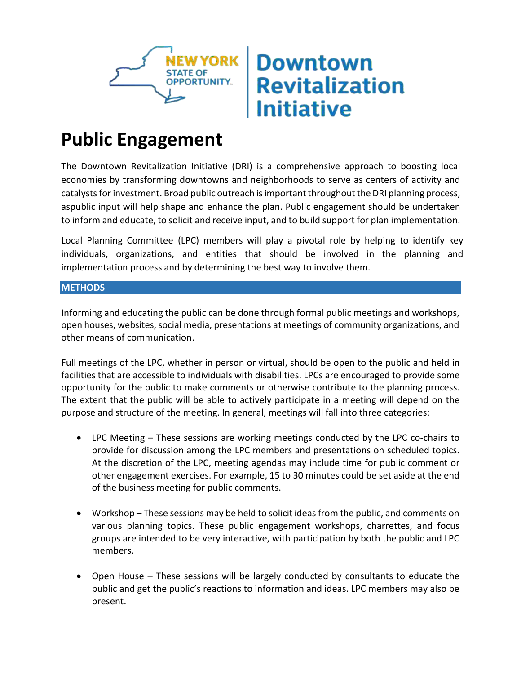

## **Downtown Revitalization Initiative**

## **Public Engagement**

The Downtown Revitalization Initiative (DRI) is a comprehensive approach to boosting local economies by transforming downtowns and neighborhoods to serve as centers of activity and catalysts for investment. Broad public outreach is important throughout the DRI planning process, aspublic input will help shape and enhance the plan. Public engagement should be undertaken to inform and educate, to solicit and receive input, and to build support for plan implementation.

Local Planning Committee (LPC) members will play a pivotal role by helping to identify key individuals, organizations, and entities that should be involved in the planning and implementation process and by determining the best way to involve them.

## **METHODS**

Informing and educating the public can be done through formal public meetings and workshops, open houses, websites, social media, presentations at meetings of community organizations, and other means of communication.

Full meetings of the LPC, whether in person or virtual, should be open to the public and held in facilities that are accessible to individuals with disabilities. LPCs are encouraged to provide some opportunity for the public to make comments or otherwise contribute to the planning process. The extent that the public will be able to actively participate in a meeting will depend on the purpose and structure of the meeting. In general, meetings will fall into three categories:

- LPC Meeting These sessions are working meetings conducted by the LPC co-chairs to provide for discussion among the LPC members and presentations on scheduled topics. At the discretion of the LPC, meeting agendas may include time for public comment or other engagement exercises. For example, 15 to 30 minutes could be set aside at the end of the business meeting for public comments.
- Workshop These sessions may be held to solicit ideas from the public, and comments on various planning topics. These public engagement workshops, charrettes, and focus groups are intended to be very interactive, with participation by both the public and LPC members.
- Open House These sessions will be largely conducted by consultants to educate the public and get the public's reactions to information and ideas. LPC members may also be present.